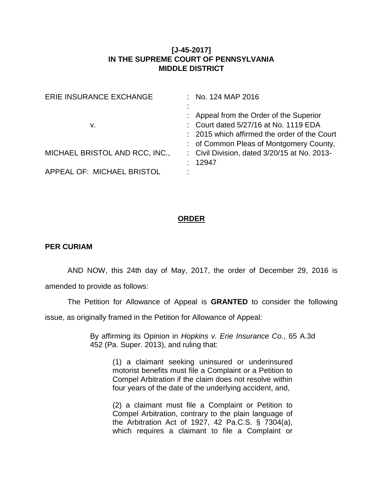## **[J-45-2017] IN THE SUPREME COURT OF PENNSYLVANIA MIDDLE DISTRICT**

| ERIE INSURANCE EXCHANGE        |           | $\therefore$ No. 124 MAP 2016                  |
|--------------------------------|-----------|------------------------------------------------|
|                                | $\bullet$ |                                                |
|                                |           | : Appeal from the Order of the Superior        |
| v.                             |           | : Court dated 5/27/16 at No. 1119 EDA          |
|                                |           | : 2015 which affirmed the order of the Court   |
|                                |           | : of Common Pleas of Montgomery County,        |
| MICHAEL BRISTOL AND RCC, INC., |           | : Civil Division, dated $3/20/15$ at No. 2013- |
|                                |           | 12947                                          |
| APPEAL OF: MICHAEL BRISTOL     |           |                                                |
|                                |           |                                                |

## **ORDER**

## **PER CURIAM**

AND NOW, this 24th day of May, 2017, the order of December 29, 2016 is amended to provide as follows:

The Petition for Allowance of Appeal is **GRANTED** to consider the following issue, as originally framed in the Petition for Allowance of Appeal:

> By affirming its Opinion in *Hopkins v. Erie Insurance Co.*, 65 A.3d 452 (Pa. Super. 2013), and ruling that:

(1) a claimant seeking uninsured or underinsured motorist benefits must file a Complaint or a Petition to Compel Arbitration if the claim does not resolve within four years of the date of the underlying accident, and,

(2) a claimant must file a Complaint or Petition to Compel Arbitration, contrary to the plain language of the Arbitration Act of 1927, 42 Pa.C.S. § 7304(a), which requires a claimant to file a Complaint or